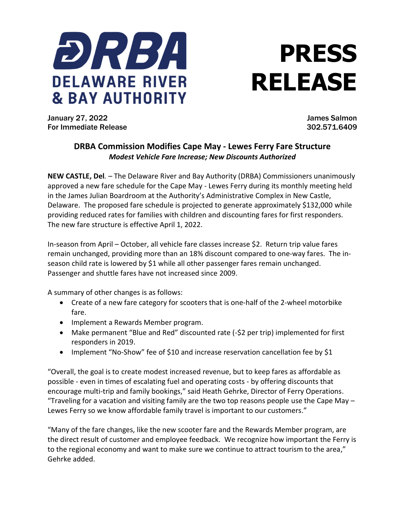

## **PRESS RELEASE**

January 27, 2022 James Salmon For Immediate Release 302.571.6409

## **DRBA Commission Modifies Cape May - Lewes Ferry Fare Structure** *Modest Vehicle Fare Increase; New Discounts Authorized*

**NEW CASTLE, Del***. –* The Delaware River and Bay Authority (DRBA) Commissioners unanimously approved a new fare schedule for the Cape May - Lewes Ferry during its monthly meeting held in the James Julian Boardroom at the Authority's Administrative Complex in New Castle, Delaware. The proposed fare schedule is projected to generate approximately \$132,000 while providing reduced rates for families with children and discounting fares for first responders. The new fare structure is effective April 1, 2022.

In-season from April – October, all vehicle fare classes increase \$2. Return trip value fares remain unchanged, providing more than an 18% discount compared to one-way fares. The inseason child rate is lowered by \$1 while all other passenger fares remain unchanged. Passenger and shuttle fares have not increased since 2009.

A summary of other changes is as follows:

- Create of a new fare category for scooters that is one-half of the 2-wheel motorbike fare.
- Implement a Rewards Member program.
- Make permanent "Blue and Red" discounted rate (-\$2 per trip) implemented for first responders in 2019.
- Implement "No-Show" fee of \$10 and increase reservation cancellation fee by \$1

"Overall, the goal is to create modest increased revenue, but to keep fares as affordable as possible - even in times of escalating fuel and operating costs - by offering discounts that encourage multi-trip and family bookings," said Heath Gehrke, Director of Ferry Operations. "Traveling for a vacation and visiting family are the two top reasons people use the Cape May  $-$ Lewes Ferry so we know affordable family travel is important to our customers."

"Many of the fare changes, like the new scooter fare and the Rewards Member program, are the direct result of customer and employee feedback. We recognize how important the Ferry is to the regional economy and want to make sure we continue to attract tourism to the area," Gehrke added.